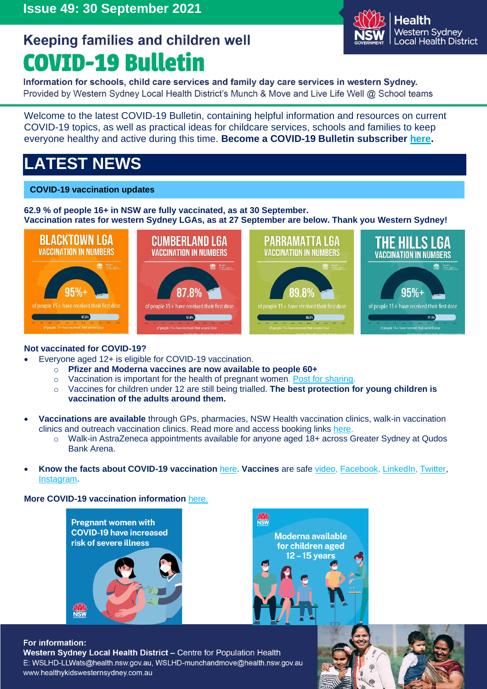

Information for schools, child care services and family day care services in western Sydney. Provided by Western Sydney Local Health District's Munch & Move and Live Life Well @ School teams

Welcome to the latest COVID-19 Bulletin, containing helpful information and resources on current COVID-19 topics, as well as practical ideas for childcare services, schools and families to keep everyone healthy and active during this time. **Become a COVID-19 Bulletin subscriber [here.](http://ems.gs/3HLb0bncUtI)** 

# **LATEST NEWS**

## **COVID-19 vaccination updates**

**62.9 % of people 16+ in NSW are fully vaccinated, as at 30 September. Vaccination rates for western Sydney LGAs, as at 27 September are below. Thank you Western Sydney!**



## **Not vaccinated for COVID-19?**

- Everyone aged 12+ is eligible for COVID-19 vaccination.
	- o **Pfizer and Moderna vaccines are now available to people 60+**
	- o Vaccination is important for the health of pregnant women. [Post for sharing.](https://www.facebook.com/NewSouthWalesHealth/photos/1689655677900433)
	- o Vaccines for children under 12 are still being trialled. **The best protection for young children is vaccination of the adults around them.**
- **Vaccinations are available** through GPs, pharmacies, NSW Health vaccination clinics, walk-in vaccination clinics and outreach vaccination clinics. Read more and access booking links [here.](https://www.nsw.gov.au/covid-19/health-and-wellbeing/covid-19-vaccination-nsw/get-your-covid-19-vaccination-nsw)
	- o Walk-in AstraZeneca appointments available for anyone aged 18+ across Greater Sydney at Qudos Bank Arena.
- **Know the facts about COVID-19 vaccination** [here.](https://www.health.nsw.gov.au/Infectious/covid-19/vaccine/Documents/know-the-facts.pdf) **Vaccines** are safe [video,](https://www.youtube.com/watch?v=GOYjArHmMjY) [Facebook,](https://www.facebook.com/mhcsnsw/posts/226081956223504) [LinkedIn,](https://www.linkedin.com/posts/mhcsnsw_covid19-covidvaccine-nsw-activity-6848437331762921472-m4ya) [Twitter,](https://twitter.com/mhcsnsw/status/1442676128196423680) [Instagram](https://www.instagram.com/p/CUWSLMsB01Y/)**.**

**More COVID-19 vaccination information** [here.](https://www.nsw.gov.au/covid-19/health-and-wellbeing/covid-19-vaccination-nsw/about-vaccine-rollout)





#### For information:

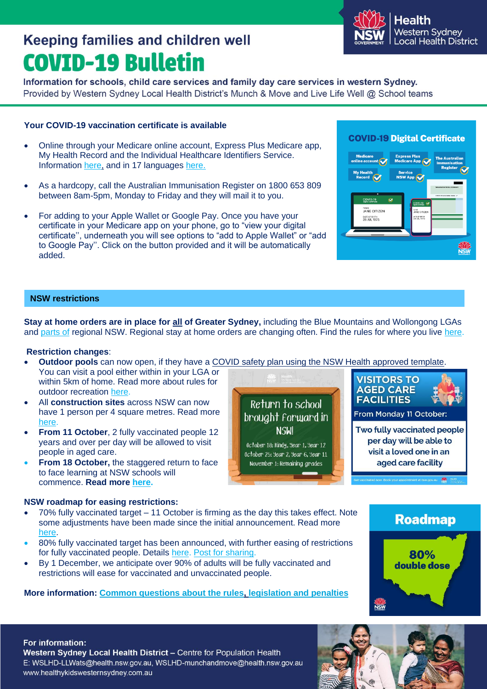• By 1 December, we anticipate over 90% of adults will be fully vaccinated and restrictions will ease for vaccinated and unvaccinated people.

## **More information: [Common questions about the rules,](https://www.nsw.gov.au/covid-19/rules/changes) [legislation and penalties](https://www.nsw.gov.au/covid-19/rules/legislation-and-penalties)**

For information: Western Sydney Local Health District - Centre for Population Health E: WSLHD-LLWats@health.nsw.gov.au, WSLHD-munchandmove@health.nsw.gov.au www.healthykidswesternsydney.com.au

# **Keeping families and children well COVID-19 Bulletin**

Information for schools, child care services and family day care services in western Sydney. Provided by Western Sydney Local Health District's Munch & Move and Live Life Well @ School teams

## **Your COVID-19 vaccination certificate is available**

- Online through your Medicare online account, Express Plus Medicare app, My Health Record and the Individual Healthcare Identifiers Service. Information [here,](https://www.health.nsw.gov.au/Infectious/factsheets/Factsheets/getting-covid-vac-record.pdf) and in 17 languages [here.](https://www.health.nsw.gov.au/Infectious/covid-19/Pages/translated/topic-vaccination.aspx)
- As a hardcopy, call the Australian Immunisation Register on 1800 653 809 between 8am-5pm, Monday to Friday and they will mail it to you.
- For adding to your Apple Wallet or Google Pay. Once you have your certificate in your Medicare app on your phone, go to "view your digital certificate'', underneath you will see options to "add to Apple Wallet" or "add to Google Pay''. Click on the button provided and it will be automatically added.

# **COVID-19 Digital Certificate**



## **NSW restrictions**

**Stay at home orders are in place for all of Greater Sydney,** including the Blue Mountains and Wollongong LGAs and parts of regional NSW. Regional stay at home orders are changing often. Find the rules for where you live [here.](https://www.nsw.gov.au/covid-19/rules)

#### **Restriction changes**:

- **Outdoor pools** can now open, if they have a [COVID safety plan](https://www.nsw.gov.au/form-master-page/covid-safety-plan/outdoor-swimming-pools-stay-at-home-areas-and-areas-of-concern-covid-19-safety-plan) using the NSW Health approved template. You can visit a pool either within in your LGA or **VISITORS TO**
- within 5km of home. Read more about rules for outdoor recreation [here.](https://www.nsw.gov.au/covid-19/rules/greater-sydney#rules-for-when-you-leave-your-home)
- All **construction sites** across NSW can now have 1 person per 4 square metres. Read more [here.](https://www.nsw.gov.au/covid-19/rules/construction-rules-and-restrictions#capacity-limits)
- **From 11 October**, 2 fully vaccinated people 12 years and over per day will be allowed to visit people in aged care.
- **From 18 October, the staggered return to face** to face learning at NSW schools will commence. **Read more [here.](https://education.nsw.gov.au/covid-19/advice-for-families)**

#### **NSW roadmap for easing restrictions:**

- 70% fully vaccinated target 11 October is firming as the day this takes effect. Note some adjustments have been made since the initial announcement. Read more [here.](https://www.nsw.gov.au/media-releases/roadmap-to-recovery-reveals-path-forward-for-all-nsw)
- 80% fully vaccinated target has been announced, with further easing of restrictions for fully vaccinated people. Details [here.](https://www.nsw.gov.au/sites/default/files/2021-09/FACT%20SHEET.pdf) [Post for sharing.](https://www.facebook.com/100064625744803/posts/219832316847625/?d=n)
- 



**NSW** 

**Roadmap** 

80% double dose



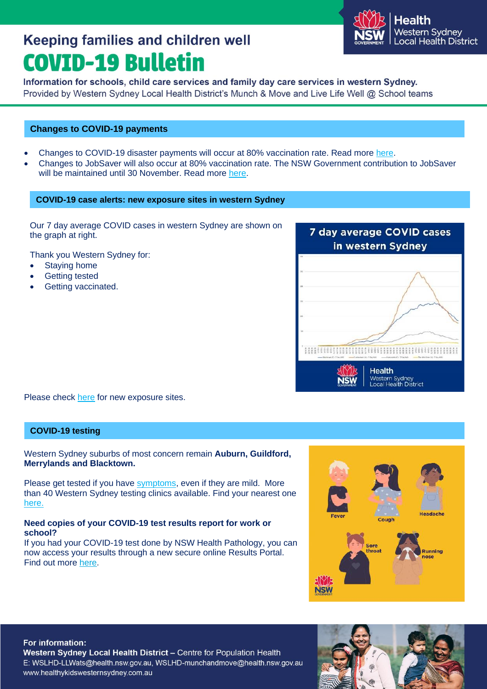

Information for schools, child care services and family day care services in western Sydney. Provided by Western Sydney Local Health District's Munch & Move and Live Life Well @ School teams

#### **Changes to COVID-19 payments**

- Changes to COVID-19 disaster payments will occur at 80% vaccination rate. Read more [here.](https://www.servicesaustralia.gov.au/individuals/services/centrelink/covid-19-disaster-payment)
- Changes to JobSaver will also occur at 80% vaccination rate. The NSW Government contribution to JobSaver will be maintained until 30 November. Read more [here.](https://www.nsw.gov.au/media-releases/jobsaver-extension-to-boost-boost-business-recovery)

#### **COVID-19 case alerts: new exposure sites in western Sydney**

Our 7 day average COVID cases in western Sydney are shown on the graph at right.

Thank you Western Sydney for:

- Staying home
- **Getting tested**
- Getting vaccinated.



Please check [here](https://www.nsw.gov.au/covid-19/latest-news-and-updates#nsw-covid-19-case-locations) for new exposure sites.

### **COVID-19 testing**

Western Sydney suburbs of most concern remain **Auburn, Guildford, Merrylands and Blacktown.**

Please get tested if you have [symptoms,](https://www.nsw.gov.au/covid-19/health-and-wellbeing/symptoms-and-testing) even if they are mild.More than 40 Western Sydney testing clinics available. Find your nearest one [here.](https://www.nsw.gov.au/covid-19/how-to-protect-yourself-and-others/clinics)

#### **Need copies of your COVID-19 test results report for work or school?**

If you had your COVID-19 test done by NSW Health Pathology, you can now access your results through a new secure online Results Portal. Find out more [here.](https://www.pathology.health.nsw.gov.au/covid-19-info/covid-19-results-direct)



#### For information:

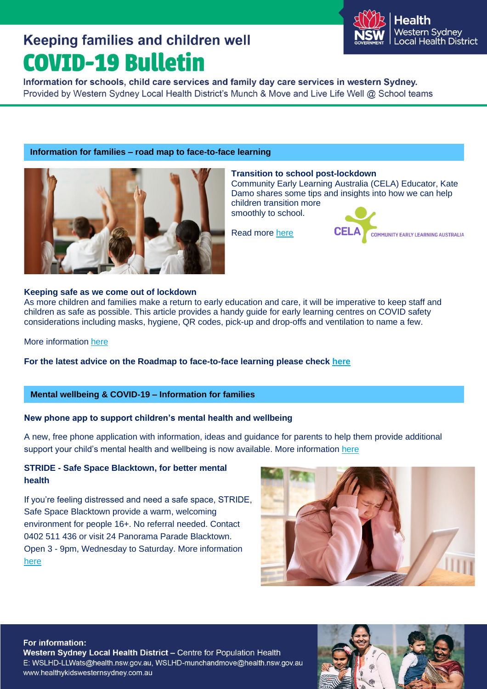

Information for schools, child care services and family day care services in western Sydney. Provided by Western Sydney Local Health District's Munch & Move and Live Life Well @ School teams

### **Information for families – road map to face-to-face learning**



#### **Transition to school post-lockdown**

Community Early Learning Australia (CELA) Educator, Kate Damo shares some tips and insights into how we can help children transition more

smoothly to school.

Read more [here](https://www.cela.org.au/publications/amplify!-blog/august/transition-after-lockdown?utm_medium=email&utm_campaign=Amplify%20-%20Transition%20to%20school%20in%20COVID%20environment%20PLUS%20small%20groups%20-%20210830&utm_content=Amplify%20-%20Transition%20to%20school%20in%20COVID%20environment%20PLUS%20small%20groups%20-%20210830+CID_931fb6069a01a48c4ceb12a7c2d71509&utm_source=email&utm_term=FIND%20OUT%20MORE)



#### **Keeping safe as we come out of lockdown**

As more children and families make a return to early education and care, it will be imperative to keep staff and children as safe as possible. This article provides a handy guide for early learning centres on COVID safety considerations including masks, hygiene, QR codes, pick-up and drop-offs and ventilation to name a few.

More information [here](https://www.cela.org.au/publications/amplify!-blog/september-2021/the-roadmap-towards-keeping-safe-out-of-lockdown?utm_medium=email&utm_campaign=Amplify%20-%20Post-lockdown%20roadmap%20PLUS%20active%20citizens%20with%20extraordinary%20ideas%20-%20210921&utm_content=Amplify%20-%20Post-lockdown%20roadmap%20PLUS%20active%20citizens%20with%20extraordinary%20ideas%20-%20210921+CID_004c7708a4b8d7ec7d826f6ab43576de&utm_source=email&utm_term=FIND%20OUT%20MORE)

**For the latest advice on the Roadmap to face-to-face learning please check [here](https://education.nsw.gov.au/covid-19/advice-for-families#Roadmap0)**

#### **Mental wellbeing & COVID-19 – Information for families**

### **New phone app to support children's mental health and wellbeing**

A new, free phone application with information, ideas and guidance for parents to help them provide additional support your child's mental health and wellbeing is now available. More information [here](https://www.health.gov.au/ministers/the-hon-greg-hunt-mp/media/new-phone-app-to-support-childrens-mental-health-and-wellbeing)

### **STRIDE - Safe Space Blacktown, for better mental health**

If you're feeling distressed and need a safe space, STRIDE, Safe Space Blacktown provide a warm, welcoming environment for people 16+. No referral needed. Contact 0402 511 436 or visit 24 Panorama Parade Blacktown. Open 3 - 9pm, Wednesday to Saturday. More information [here](https://stride.com.au/)



#### For information:

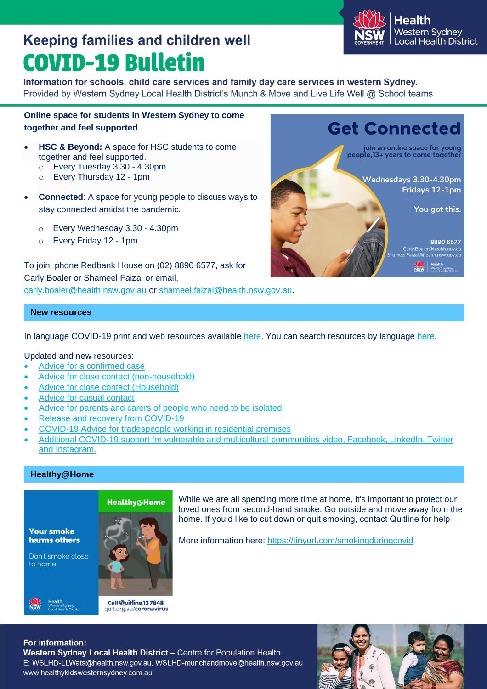

Information for schools, child care services and family day care services in western Sydney. Provided by Western Sydney Local Health District's Munch & Move and Live Life Well @ School teams

### **Online space for students in Western Sydney to come together and feel supported**

- **HSC & Beyond:** A space for HSC students to come together and feel supported.
	- o Every Tuesday 3.30 4.30pm
	- o Every Thursday 12 1pm
- **Connected**: A space for young people to discuss ways to stay connected amidst the pandemic.
	- o Every Wednesday 3.30 4.30pm
	- o Every Friday 12 1pm

To join: phone Redbank House on (02) 8890 6577, ask for Carly Boaler or Shameel Faizal or email, [carly.boaler@health.nsw.gov.au](mailto:carly.boaler@health.nsw.gov.au) or [shameel.faizal@health.nsw.gov.au.](mailto:shameel.faizal@health.nsw.gov.au)



#### **New resources**

In language COVID-19 print and web resources available [here.](https://www.health.nsw.gov.au/Infectious/covid-19/Pages/resources.aspx) You can search resources by language [here.](https://www.health.nsw.gov.au/Infectious/covid-19/Pages/languages.aspx)

#### Updated and new resources:

- [Advice for a confirmed case](https://www.health.nsw.gov.au/Infectious/factsheets/Pages/advice-for-confirmed.aspx)
- [Advice for close contact \(non-household\)](https://www.health.nsw.gov.au/Infectious/factsheets/Pages/advice-for-contacts.aspx)
- [Advice for close contact \(Household\)](https://www.health.nsw.gov.au/Infectious/factsheets/Pages/household-contacts.aspx)
- [Advice for casual contact](https://www.health.nsw.gov.au/Infectious/factsheets/Pages/covid-19-casual-contact.aspx)
- [Advice for parents and carers of people who need to be isolated](https://www.health.nsw.gov.au/Infectious/covid-19/Pages/isolation-advice-for-parents-and-carers.aspx)
- [Release and recovery from COVID-19](https://www.health.nsw.gov.au/Infectious/factsheets/Pages/recovery.aspx)
- [COVID-19 Advice for tradespeople working in residential premises](https://www.health.nsw.gov.au/Infectious/covid-19/Publications/advice-for-tradespeople-factsheet.pdf)
- Additional COVID-19 support for vulnerable and multicultural communities [video,](https://youtu.be/4qMbINWm3SM) [Facebook,](https://www.facebook.com/mhcsnsw/posts/226059652892401) [LinkedIn,](https://www.linkedin.com/posts/mhcsnsw_covid19-multicultural-activity-6848412364459524096-UHJa) [Twitter](https://twitter.com/mhcsnsw/status/1442647459721723908) and [Instagram.](https://www.instagram.com/p/CUWHMflhWgj/)

#### **Healthy@Home**

**Your smoke** harms others

Don't smoke close to home

**NSW** 



Call Wuitline 137848 quit.org.au/coronavirus While we are all spending more time at home, it's important to protect our loved ones from second-hand smoke. Go outside and move away from the home. If you'd like to cut down or quit smoking, contact Quitline for help

More information here:<https://tinyurl.com/smokingduringcovid>

#### For information: